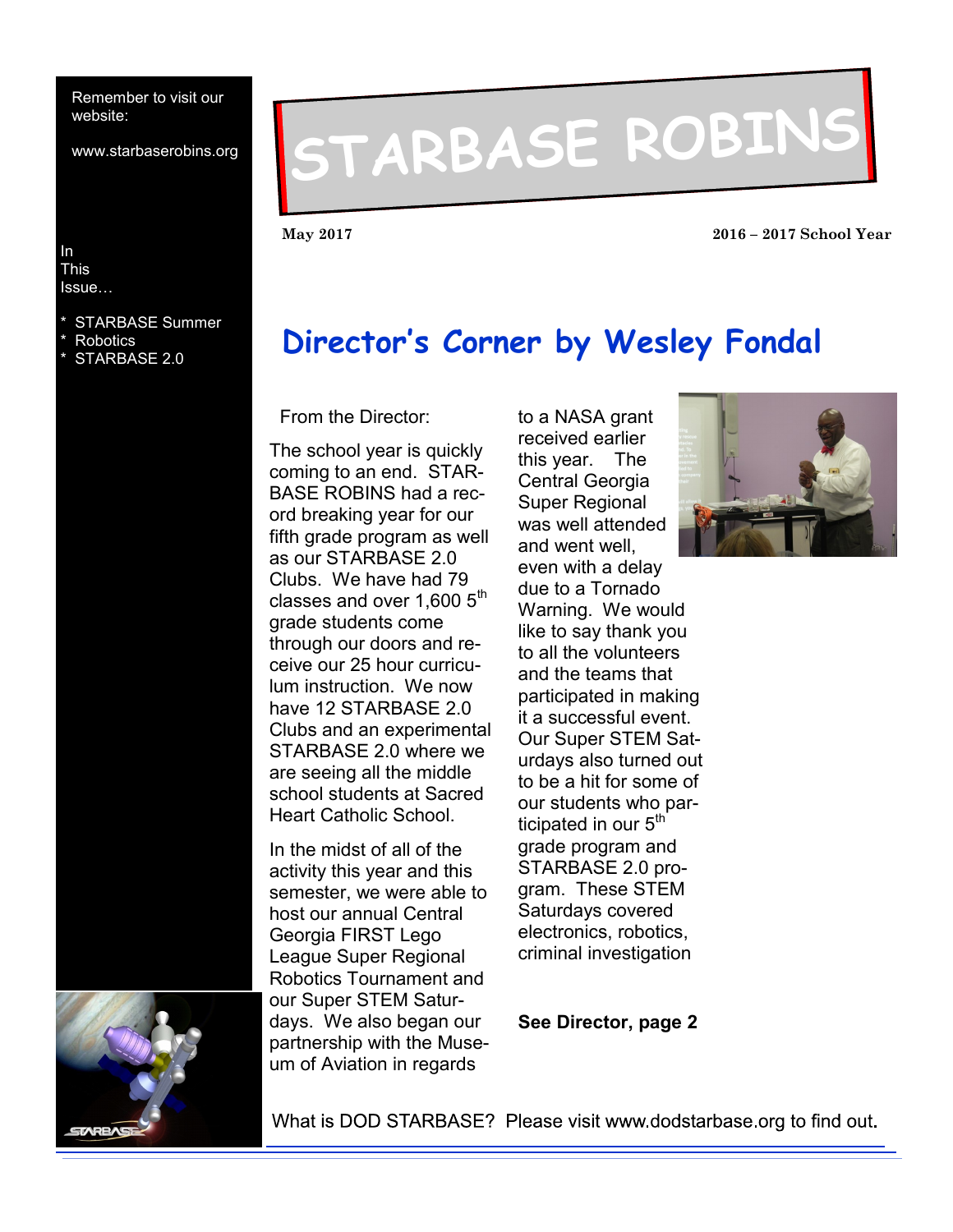Remember to visit our website:

www.starbaserobins.org

#### In This Issue…

- **STARBASE** STARBASE Summer
- **Robotics**
- STARBASE 2.0

# **STARBASE ROBINS**

**May 2017 2016 – 2017 School Year**

## **Director's Corner by Wesley Fondal**

From the Director:

The school year is quickly coming to an end. STAR-BASE ROBINS had a record breaking year for our fifth grade program as well as our STARBASE 2.0 Clubs. We have had 79 classes and over  $1,600$   $5<sup>th</sup>$ grade students come through our doors and receive our 25 hour curriculum instruction. We now have 12 STARBASE 2.0 Clubs and an experimental STARBASE 2.0 where we are seeing all the middle school students at Sacred Heart Catholic School.

In the midst of all of the activity this year and this semester, we were able to host our annual Central Georgia FIRST Lego League Super Regional Robotics Tournament and our Super STEM Saturdays. We also began our partnership with the Museum of Aviation in regards

to a NASA grant received earlier this year. The Central Georgia Super Regional was well attended and went well, even with a delay due to a Tornado Warning. We would like to say thank you to all the volunteers and the teams that participated in making it a successful event. Our Super STEM Saturdays also turned out to be a hit for some of our students who participated in our  $5<sup>th</sup>$ grade program and STARBASE 2.0 program. These STEM Saturdays covered electronics, robotics, criminal investigation





What is DOD STARBASE? Please visit www.dodstarbase.org to find out.

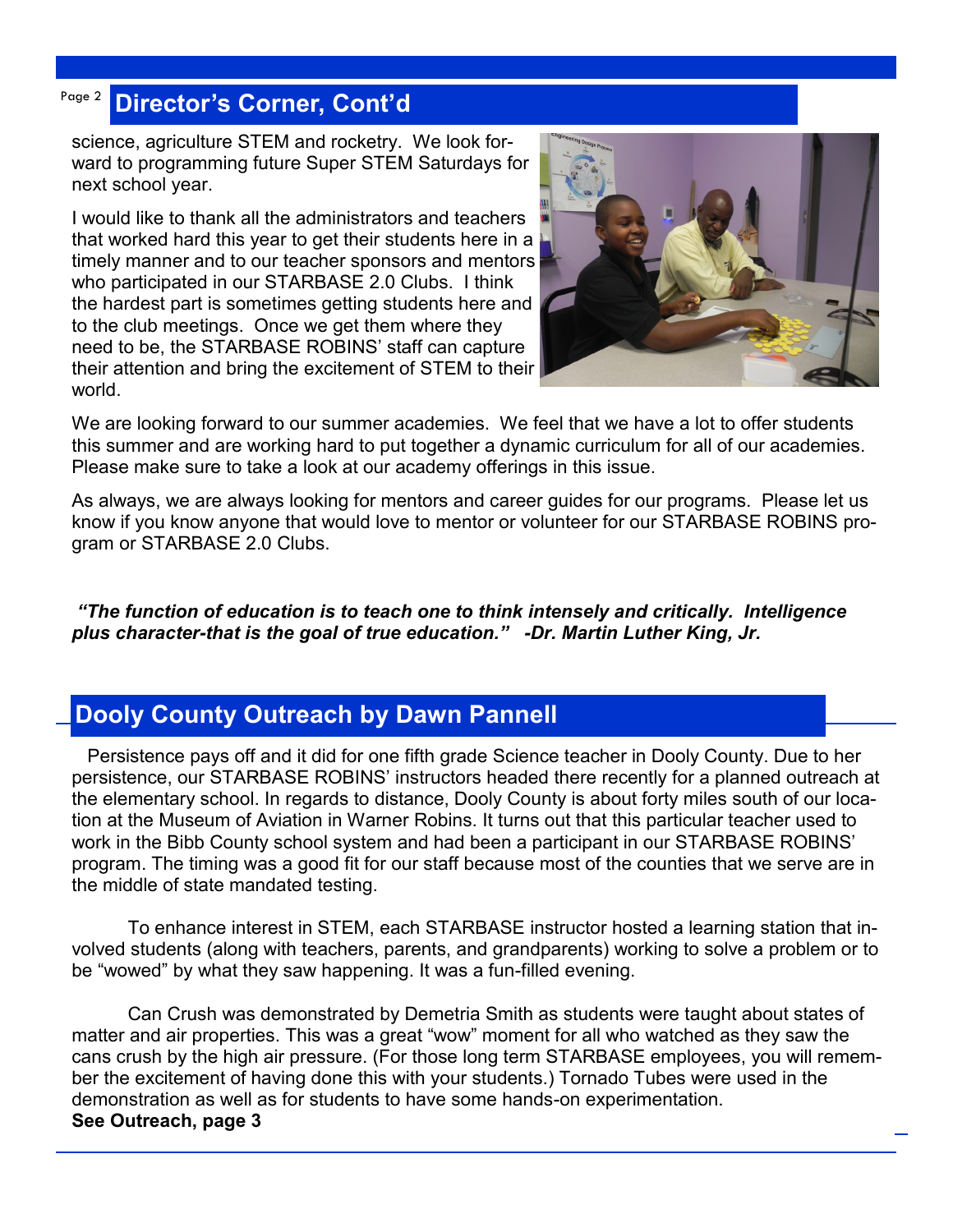#### Page 2 **Director's Corner, Cont'd**

science, agriculture STEM and rocketry. We look forward to programming future Super STEM Saturdays for next school year.

I would like to thank all the administrators and teachers that worked hard this year to get their students here in a timely manner and to our teacher sponsors and mentors who participated in our STARBASE 2.0 Clubs. I think the hardest part is sometimes getting students here and to the club meetings. Once we get them where they need to be, the STARBASE ROBINS' staff can capture their attention and bring the excitement of STEM to their world.



We are looking forward to our summer academies. We feel that we have a lot to offer students this summer and are working hard to put together a dynamic curriculum for all of our academies. Please make sure to take a look at our academy offerings in this issue.

As always, we are always looking for mentors and career guides for our programs. Please let us know if you know anyone that would love to mentor or volunteer for our STARBASE ROBINS program or STARBASE 2.0 Clubs.

*"The function of education is to teach one to think intensely and critically. Intelligence plus character-that is the goal of true education." -Dr. Martin Luther King, Jr.*

## **Dooly County Outreach by Dawn Pannell**

 Persistence pays off and it did for one fifth grade Science teacher in Dooly County. Due to her persistence, our STARBASE ROBINS' instructors headed there recently for a planned outreach at the elementary school. In regards to distance, Dooly County is about forty miles south of our location at the Museum of Aviation in Warner Robins. It turns out that this particular teacher used to work in the Bibb County school system and had been a participant in our STARBASE ROBINS' program. The timing was a good fit for our staff because most of the counties that we serve are in the middle of state mandated testing.

To enhance interest in STEM, each STARBASE instructor hosted a learning station that involved students (along with teachers, parents, and grandparents) working to solve a problem or to be "wowed" by what they saw happening. It was a fun-filled evening.

Can Crush was demonstrated by Demetria Smith as students were taught about states of matter and air properties. This was a great "wow" moment for all who watched as they saw the cans crush by the high air pressure. (For those long term STARBASE employees, you will remember the excitement of having done this with your students.) Tornado Tubes were used in the demonstration as well as for students to have some hands-on experimentation. **See Outreach, page 3**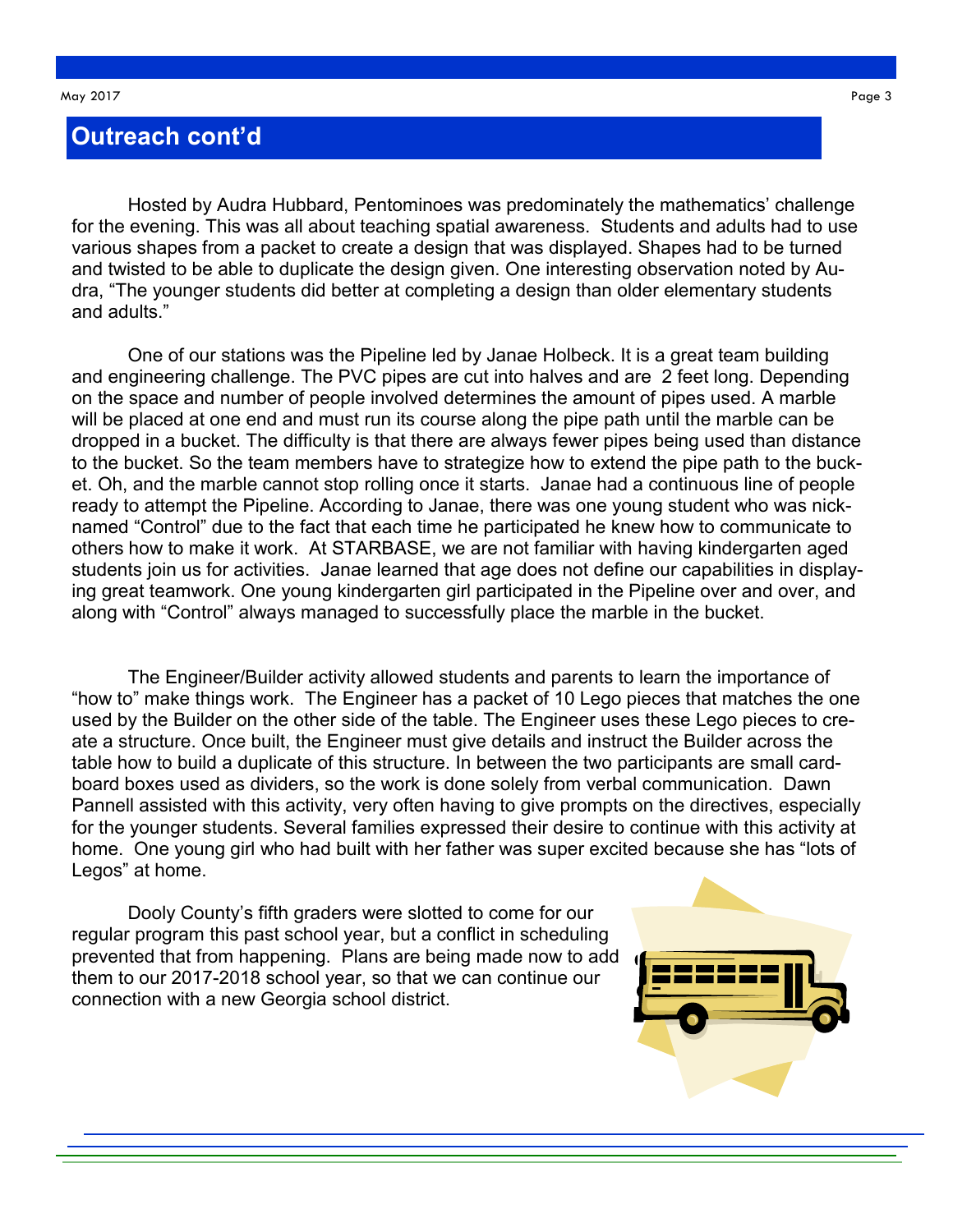#### **Outreach cont'd**

Hosted by Audra Hubbard, Pentominoes was predominately the mathematics' challenge for the evening. This was all about teaching spatial awareness. Students and adults had to use various shapes from a packet to create a design that was displayed. Shapes had to be turned and twisted to be able to duplicate the design given. One interesting observation noted by Audra, "The younger students did better at completing a design than older elementary students and adults."

One of our stations was the Pipeline led by Janae Holbeck. It is a great team building and engineering challenge. The PVC pipes are cut into halves and are 2 feet long. Depending on the space and number of people involved determines the amount of pipes used. A marble will be placed at one end and must run its course along the pipe path until the marble can be dropped in a bucket. The difficulty is that there are always fewer pipes being used than distance to the bucket. So the team members have to strategize how to extend the pipe path to the bucket. Oh, and the marble cannot stop rolling once it starts. Janae had a continuous line of people ready to attempt the Pipeline. According to Janae, there was one young student who was nicknamed "Control" due to the fact that each time he participated he knew how to communicate to others how to make it work. At STARBASE, we are not familiar with having kindergarten aged students join us for activities. Janae learned that age does not define our capabilities in displaying great teamwork. One young kindergarten girl participated in the Pipeline over and over, and along with "Control" always managed to successfully place the marble in the bucket.

The Engineer/Builder activity allowed students and parents to learn the importance of "how to" make things work. The Engineer has a packet of 10 Lego pieces that matches the one used by the Builder on the other side of the table. The Engineer uses these Lego pieces to create a structure. Once built, the Engineer must give details and instruct the Builder across the table how to build a duplicate of this structure. In between the two participants are small cardboard boxes used as dividers, so the work is done solely from verbal communication. Dawn Pannell assisted with this activity, very often having to give prompts on the directives, especially for the younger students. Several families expressed their desire to continue with this activity at home. One young girl who had built with her father was super excited because she has "lots of Legos" at home.

Dooly County's fifth graders were slotted to come for our regular program this past school year, but a conflict in scheduling prevented that from happening. Plans are being made now to add them to our 2017-2018 school year, so that we can continue our connection with a new Georgia school district.

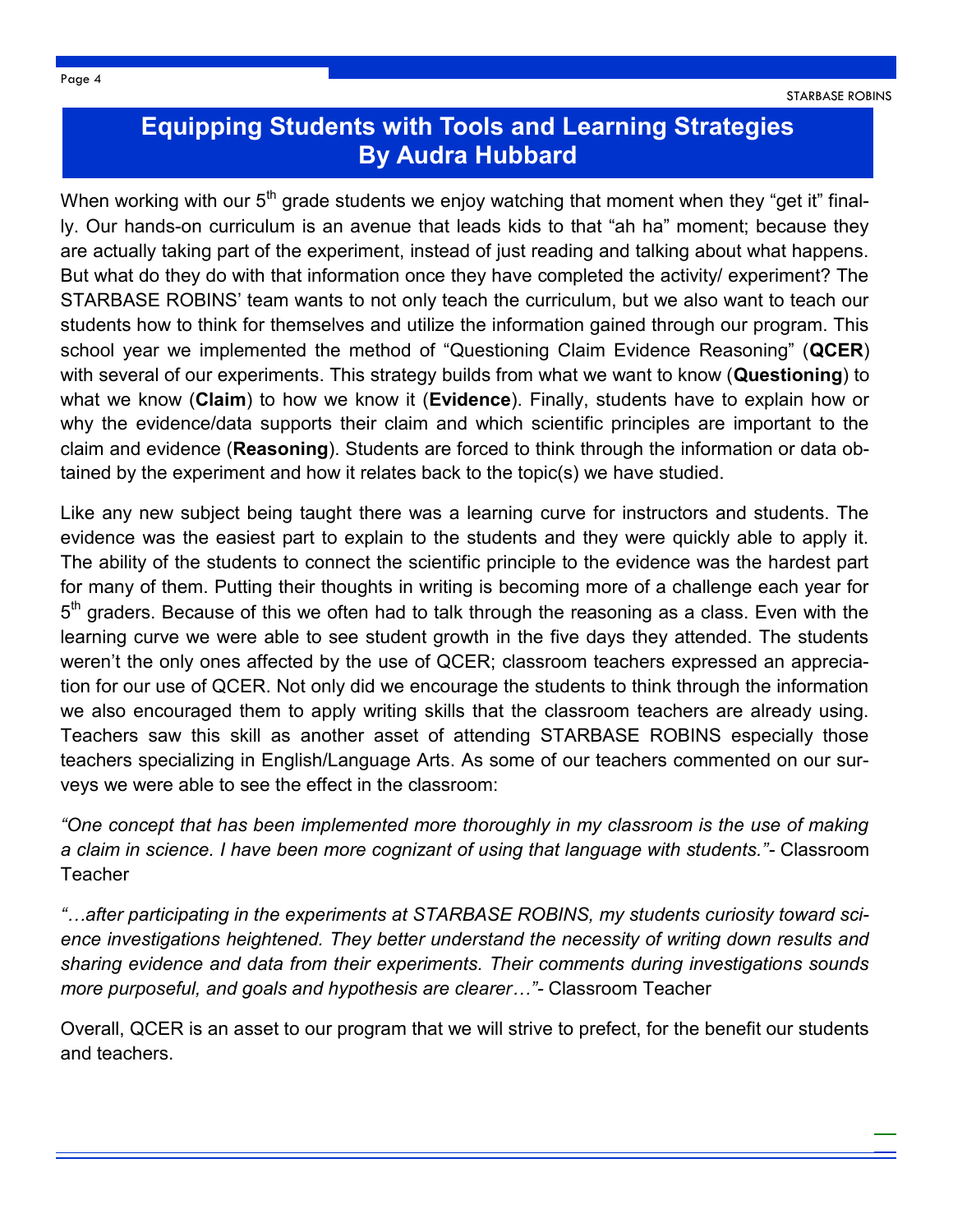### **Equipping Students with Tools and Learning Strategies By Audra Hubbard**

When working with our  $5<sup>th</sup>$  grade students we enjoy watching that moment when they "get it" finally. Our hands-on curriculum is an avenue that leads kids to that "ah ha" moment; because they are actually taking part of the experiment, instead of just reading and talking about what happens. But what do they do with that information once they have completed the activity/ experiment? The STARBASE ROBINS' team wants to not only teach the curriculum, but we also want to teach our students how to think for themselves and utilize the information gained through our program. This school year we implemented the method of "Questioning Claim Evidence Reasoning" (**QCER**) with several of our experiments. This strategy builds from what we want to know (**Questioning**) to what we know (**Claim**) to how we know it (**Evidence**). Finally, students have to explain how or why the evidence/data supports their claim and which scientific principles are important to the claim and evidence (**Reasoning**). Students are forced to think through the information or data obtained by the experiment and how it relates back to the topic(s) we have studied.

Like any new subject being taught there was a learning curve for instructors and students. The evidence was the easiest part to explain to the students and they were quickly able to apply it. The ability of the students to connect the scientific principle to the evidence was the hardest part for many of them. Putting their thoughts in writing is becoming more of a challenge each year for 5<sup>th</sup> graders. Because of this we often had to talk through the reasoning as a class. Even with the learning curve we were able to see student growth in the five days they attended. The students weren't the only ones affected by the use of QCER; classroom teachers expressed an appreciation for our use of QCER. Not only did we encourage the students to think through the information we also encouraged them to apply writing skills that the classroom teachers are already using. Teachers saw this skill as another asset of attending STARBASE ROBINS especially those teachers specializing in English/Language Arts. As some of our teachers commented on our surveys we were able to see the effect in the classroom:

*"One concept that has been implemented more thoroughly in my classroom is the use of making a claim in science. I have been more cognizant of using that language with students."-* Classroom **Teacher** 

*"…after participating in the experiments at STARBASE ROBINS, my students curiosity toward science investigations heightened. They better understand the necessity of writing down results and sharing evidence and data from their experiments. Their comments during investigations sounds more purposeful, and goals and hypothesis are clearer…"-* Classroom Teacher

Overall, QCER is an asset to our program that we will strive to prefect, for the benefit our students and teachers.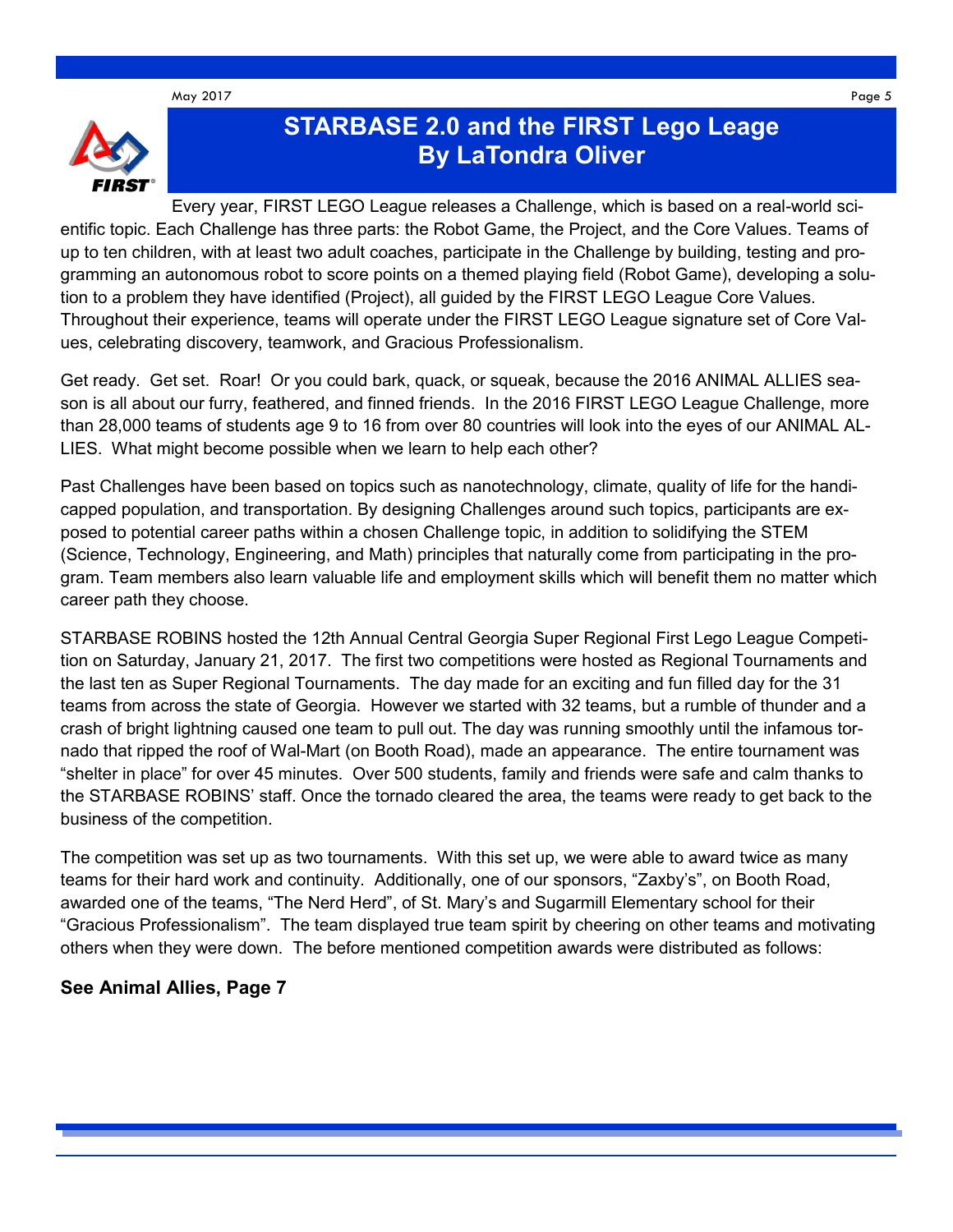May 2017 Page 5



## **STARBASE 2.0 and the FIRST Lego Leage By LaTondra Oliver**

Every year, FIRST LEGO League releases a Challenge, which is based on a real-world scientific topic. Each Challenge has three parts: the Robot Game, the Project, and the Core Values. Teams of up to ten children, with at least two adult coaches, participate in the Challenge by building, testing and programming an autonomous robot to score points on a themed playing field (Robot Game), developing a solution to a problem they have identified (Project), all guided by the FIRST LEGO League Core Values. Throughout their experience, teams will operate under the FIRST LEGO League signature set of Core Values, celebrating discovery, teamwork, and Gracious Professionalism.

Get ready. Get set. Roar! Or you could bark, quack, or squeak, because the 2016 ANIMAL ALLIES season is all about our furry, feathered, and finned friends. In the 2016 FIRST LEGO League Challenge, more than 28,000 teams of students age 9 to 16 from over 80 countries will look into the eyes of our ANIMAL AL-LIES. What might become possible when we learn to help each other?

Past Challenges have been based on topics such as nanotechnology, climate, quality of life for the handicapped population, and transportation. By designing Challenges around such topics, participants are exposed to potential career paths within a chosen Challenge topic, in addition to solidifying the STEM (Science, Technology, Engineering, and Math) principles that naturally come from participating in the program. Team members also learn valuable life and employment skills which will benefit them no matter which career path they choose.

STARBASE ROBINS hosted the 12th Annual Central Georgia Super Regional First Lego League Competition on Saturday, January 21, 2017. The first two competitions were hosted as Regional Tournaments and the last ten as Super Regional Tournaments. The day made for an exciting and fun filled day for the 31 teams from across the state of Georgia. However we started with 32 teams, but a rumble of thunder and a crash of bright lightning caused one team to pull out. The day was running smoothly until the infamous tornado that ripped the roof of Wal-Mart (on Booth Road), made an appearance. The entire tournament was "shelter in place" for over 45 minutes. Over 500 students, family and friends were safe and calm thanks to the STARBASE ROBINS' staff. Once the tornado cleared the area, the teams were ready to get back to the business of the competition.

The competition was set up as two tournaments. With this set up, we were able to award twice as many teams for their hard work and continuity. Additionally, one of our sponsors, "Zaxby's", on Booth Road, awarded one of the teams, "The Nerd Herd", of St. Mary's and Sugarmill Elementary school for their "Gracious Professionalism". The team displayed true team spirit by cheering on other teams and motivating others when they were down. The before mentioned competition awards were distributed as follows:

#### **See Animal Allies, Page 7**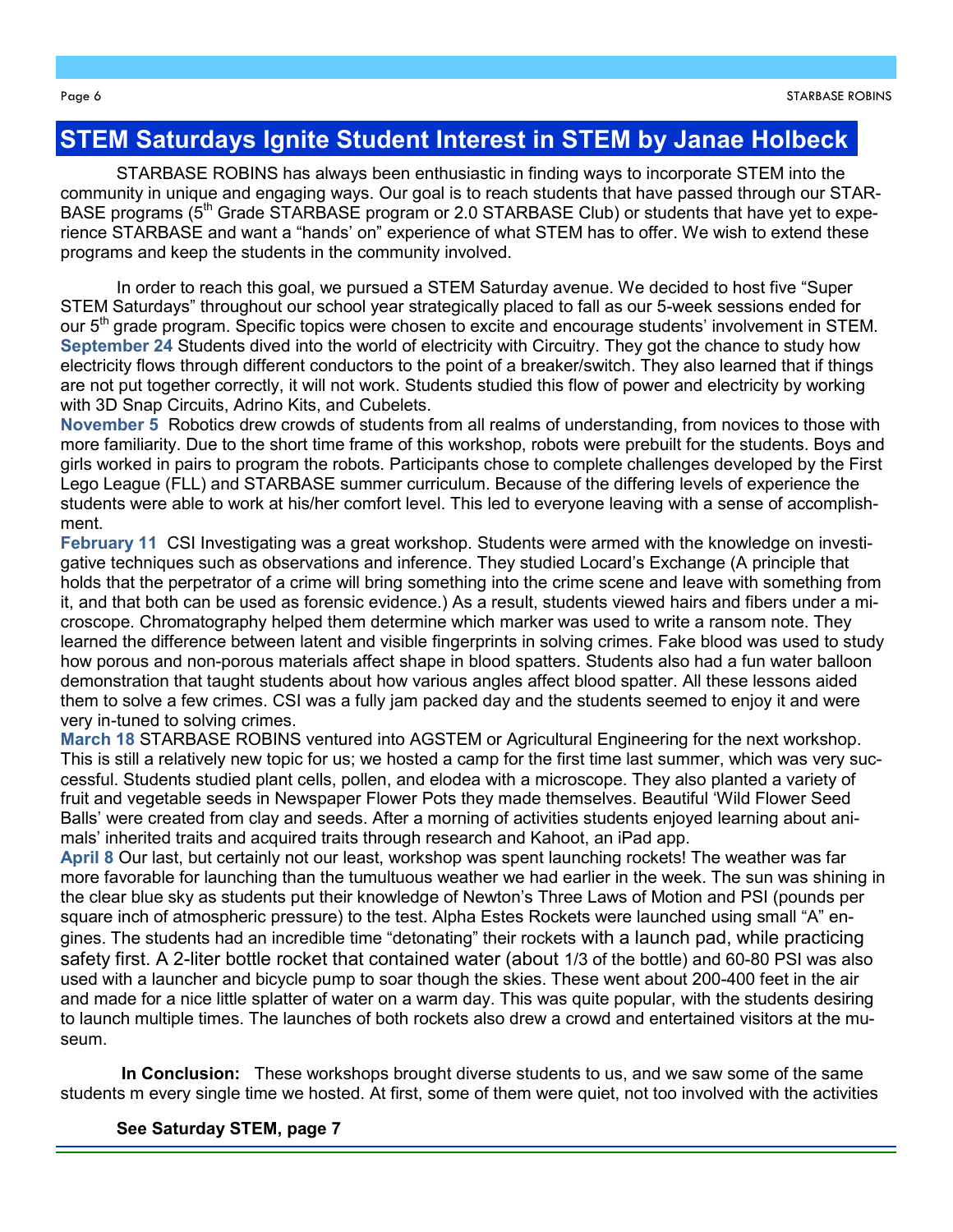#### **STEM Saturdays Ignite Student Interest in STEM by Janae Holbeck**

STARBASE ROBINS has always been enthusiastic in finding ways to incorporate STEM into the community in unique and engaging ways. Our goal is to reach students that have passed through our STAR-BASE programs ( $5<sup>th</sup>$  Grade STARBASE program or 2.0 STARBASE Club) or students that have yet to experience STARBASE and want a "hands' on" experience of what STEM has to offer. We wish to extend these programs and keep the students in the community involved.

In order to reach this goal, we pursued a STEM Saturday avenue. We decided to host five "Super STEM Saturdays" throughout our school year strategically placed to fall as our 5-week sessions ended for our 5<sup>th</sup> grade program. Specific topics were chosen to excite and encourage students' involvement in STEM. **September 24** Students dived into the world of electricity with Circuitry. They got the chance to study how electricity flows through different conductors to the point of a breaker/switch. They also learned that if things are not put together correctly, it will not work. Students studied this flow of power and electricity by working with 3D Snap Circuits, Adrino Kits, and Cubelets.

**November 5** Robotics drew crowds of students from all realms of understanding, from novices to those with more familiarity. Due to the short time frame of this workshop, robots were prebuilt for the students. Boys and girls worked in pairs to program the robots. Participants chose to complete challenges developed by the First Lego League (FLL) and STARBASE summer curriculum. Because of the differing levels of experience the students were able to work at his/her comfort level. This led to everyone leaving with a sense of accomplishment.

**February 11** CSI Investigating was a great workshop. Students were armed with the knowledge on investigative techniques such as observations and inference. They studied Locard's Exchange (A principle that holds that the perpetrator of a crime will bring something into the crime scene and leave with something from it, and that both can be used as forensic evidence.) As a result, students viewed hairs and fibers under a microscope. Chromatography helped them determine which marker was used to write a ransom note. They learned the difference between latent and visible fingerprints in solving crimes. Fake blood was used to study how porous and non-porous materials affect shape in blood spatters. Students also had a fun water balloon demonstration that taught students about how various angles affect blood spatter. All these lessons aided them to solve a few crimes. CSI was a fully jam packed day and the students seemed to enjoy it and were very in-tuned to solving crimes.

**March 18** STARBASE ROBINS ventured into AGSTEM or Agricultural Engineering for the next workshop. This is still a relatively new topic for us; we hosted a camp for the first time last summer, which was very successful. Students studied plant cells, pollen, and elodea with a microscope. They also planted a variety of fruit and vegetable seeds in Newspaper Flower Pots they made themselves. Beautiful 'Wild Flower Seed Balls' were created from clay and seeds. After a morning of activities students enjoyed learning about animals' inherited traits and acquired traits through research and Kahoot, an iPad app.

**April 8** Our last, but certainly not our least, workshop was spent launching rockets! The weather was far more favorable for launching than the tumultuous weather we had earlier in the week. The sun was shining in the clear blue sky as students put their knowledge of Newton's Three Laws of Motion and PSI (pounds per square inch of atmospheric pressure) to the test. Alpha Estes Rockets were launched using small "A" engines. The students had an incredible time "detonating" their rockets with a launch pad, while practicing safety first. A 2-liter bottle rocket that contained water (about 1/3 of the bottle) and 60-80 PSI was also used with a launcher and bicycle pump to soar though the skies. These went about 200-400 feet in the air and made for a nice little splatter of water on a warm day. This was quite popular, with the students desiring to launch multiple times. The launches of both rockets also drew a crowd and entertained visitors at the museum.

**In Conclusion:** These workshops brought diverse students to us, and we saw some of the same students m every single time we hosted. At first, some of them were quiet, not too involved with the activities

**See Saturday STEM, page 7**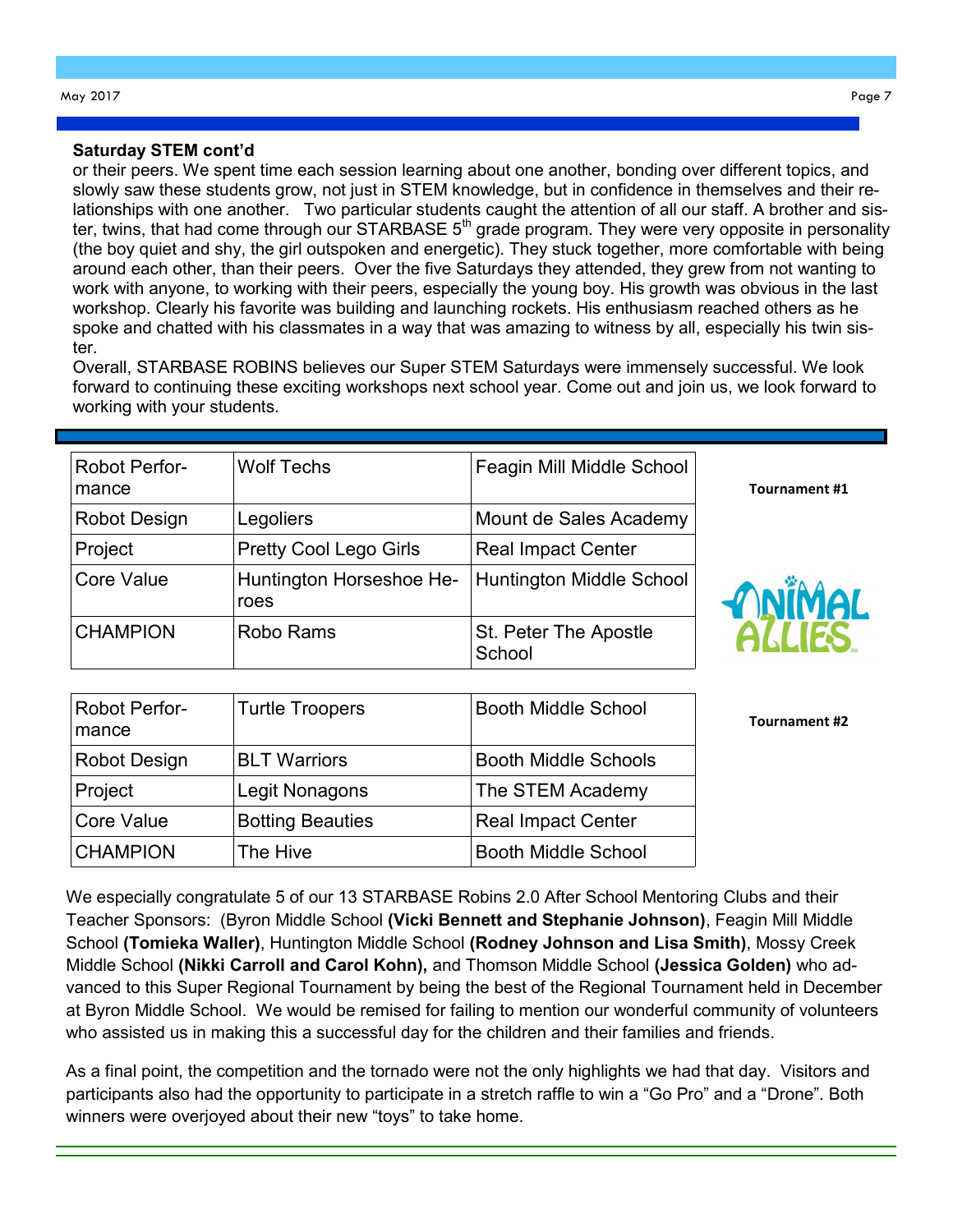#### **Saturday STEM cont'd**

or their peers. We spent time each session learning about one another, bonding over different topics, and slowly saw these students grow, not just in STEM knowledge, but in confidence in themselves and their relationships with one another. Two particular students caught the attention of all our staff. A brother and sister, twins, that had come through our STARBASE 5<sup>th</sup> grade program. They were very opposite in personality (the boy quiet and shy, the girl outspoken and energetic). They stuck together, more comfortable with being around each other, than their peers. Over the five Saturdays they attended, they grew from not wanting to work with anyone, to working with their peers, especially the young boy. His growth was obvious in the last workshop. Clearly his favorite was building and launching rockets. His enthusiasm reached others as he spoke and chatted with his classmates in a way that was amazing to witness by all, especially his twin sister.

Overall, STARBASE ROBINS believes our Super STEM Saturdays were immensely successful. We look forward to continuing these exciting workshops next school year. Come out and join us, we look forward to working with your students.

| Robot Perfor-<br>mance | <b>Wolf Techs</b>                | Feagin Mill Middle School       |
|------------------------|----------------------------------|---------------------------------|
| Robot Design           | Legoliers                        | Mount de Sales Academy          |
| Project                | <b>Pretty Cool Lego Girls</b>    | <b>Real Impact Center</b>       |
| Core Value             | Huntington Horseshoe He-<br>roes | <b>Huntington Middle School</b> |
| <b>CHAMPION</b>        | Robo Rams                        | St. Peter The Apostle<br>School |

**MiMAL** 

**Tournament #2**

**Tournament #1**

| <b>Robot Perfor-</b><br>mance | <b>Turtle Troopers</b>  | <b>Booth Middle School</b>  |
|-------------------------------|-------------------------|-----------------------------|
| <b>Robot Design</b>           | <b>BLT Warriors</b>     | <b>Booth Middle Schools</b> |
| Project                       | Legit Nonagons          | The STEM Academy            |
| <b>Core Value</b>             | <b>Botting Beauties</b> | <b>Real Impact Center</b>   |
| <b>CHAMPION</b>               | The Hive                | <b>Booth Middle School</b>  |

We especially congratulate 5 of our 13 STARBASE Robins 2.0 After School Mentoring Clubs and their Teacher Sponsors: (Byron Middle School **(Vicki Bennett and Stephanie Johnson)**, Feagin Mill Middle School **(Tomieka Waller)**, Huntington Middle School **(Rodney Johnson and Lisa Smith)**, Mossy Creek Middle School **(Nikki Carroll and Carol Kohn),** and Thomson Middle School **(Jessica Golden)** who advanced to this Super Regional Tournament by being the best of the Regional Tournament held in December at Byron Middle School. We would be remised for failing to mention our wonderful community of volunteers who assisted us in making this a successful day for the children and their families and friends.

As a final point, the competition and the tornado were not the only highlights we had that day. Visitors and participants also had the opportunity to participate in a stretch raffle to win a "Go Pro" and a "Drone". Both winners were overjoyed about their new "toys" to take home.